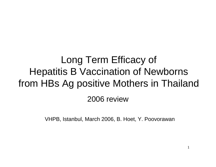# Long Term Efficacy of Hepatitis B Vaccination of Newborns from HBs Ag positive Mothers in Thailand

#### 2006 review

VHPB, Istanbul, March 2006, B. Hoet, Y. Poovorawan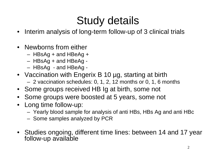### Study details

- Interim analysis of long-term follow-up of 3 clinical trials
- Newborns from either
	- HBsAg + and HBeAg +
	- HBsAg + and HBeAg
	- HBsAg and HBeAg
- Vaccination with Engerix B 10 µg, starting at birth – 2 vaccination schedules: 0, 1, 2, 12 months or 0, 1, 6 months
- Some groups received HB Ig at birth, some not
- •Some groups were boosted at 5 years, some not
- Long time follow-up:
	- –Yearly blood sample for analysis of anti HBs, HBs Ag and anti HBc
	- –- Some samples analyzed by PCR
- Studies ongoing, different time lines: between 14 and 17 year follow-up available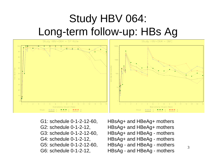## Study HBV 064: Long-term follow-up: HBs Ag



- 
- G1: schedule 0-1-2-12-60, HBsAg+ and HBeAg+ mothers G2: schedule 0-1-2-12, HBsAg+ and HBeAg+ mothers G3: schedule 0-1-2-12-60, HBsAg+ and HBeAg - mothers G4: schedule 0-1-2-12, HBsAg+ and HBeAg - mothers G5: schedule 0-1-2-12-60, HBsAg - and HBeAg - mothers G6: schedule 0-1-2-12, HBsAg - and HBeAg - mothers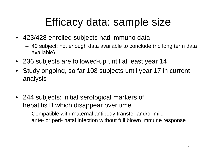#### Efficacy data: sample size

- 423/428 enrolled subjects had immuno data
	- 40 subject: not enough data available to conclude (no long term data available)
- 236 subjects are followed-up until at least year 14
- • Study ongoing, so far 108 subjects until year 17 in current analysis
- 244 subjects: initial serological markers of hepatitis B which disappear over time
	- Compatible with maternal antibody transfer and/or mild ante- or peri- natal infection without full blown immune response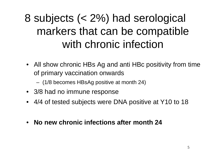# 8 subjects (< 2%) had serological markers that can be compatible with chronic infection

- All show chronic HBs Ag and anti HBc positivity from time of primary vaccination onwards
	- (1/8 becomes HBsAg positive at month 24)
- 3/8 had no immune response
- 4/4 of tested subjects were DNA positive at Y10 to 18
- •**No new chronic infections after month 24**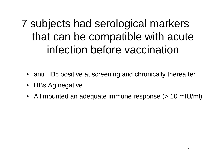# 7 subjects had serological markers that can be compatible with acute infection before vaccination

- anti HBc positive at screening and chronically thereafter
- HBs Ag negative
- All mounted an adequate immune response (> 10 mIU/mI)